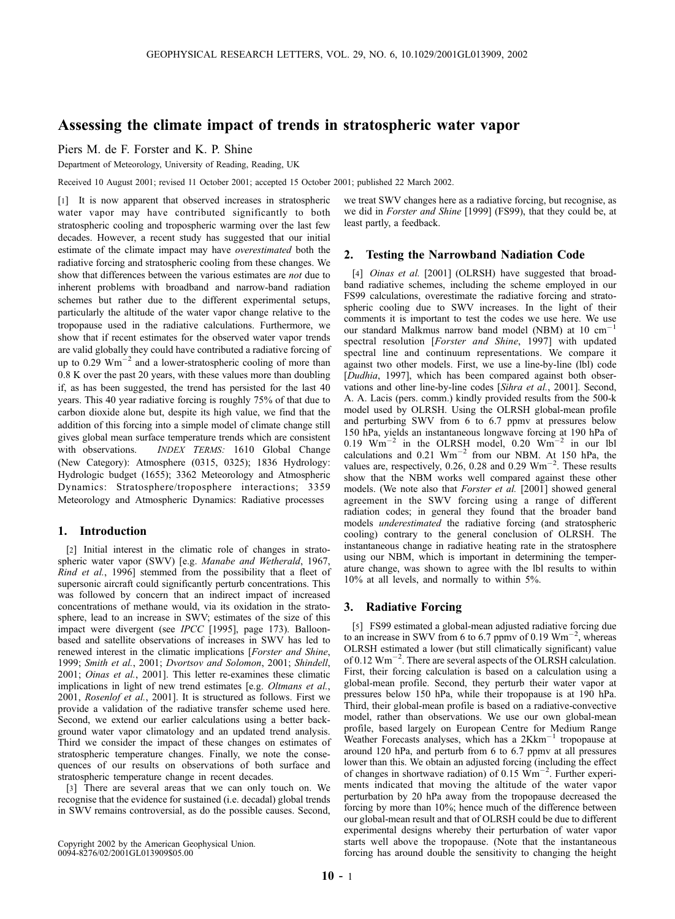# Assessing the climate impact of trends in stratospheric water vapor

Piers M. de F. Forster and K. P. Shine

Department of Meteorology, University of Reading, Reading, UK

Received 10 August 2001; revised 11 October 2001; accepted 15 October 2001; published 22 March 2002.

[1] It is now apparent that observed increases in stratospheric water vapor may have contributed significantly to both stratospheric cooling and tropospheric warming over the last few decades. However, a recent study has suggested that our initial estimate of the climate impact may have overestimated both the radiative forcing and stratospheric cooling from these changes. We show that differences between the various estimates are not due to inherent problems with broadband and narrow-band radiation schemes but rather due to the different experimental setups, particularly the altitude of the water vapor change relative to the tropopause used in the radiative calculations. Furthermore, we show that if recent estimates for the observed water vapor trends are valid globally they could have contributed a radiative forcing of up to 0.29  $\text{Wm}^{-2}$  and a lower-stratospheric cooling of more than 0.8 K over the past 20 years, with these values more than doubling if, as has been suggested, the trend has persisted for the last 40 years. This 40 year radiative forcing is roughly 75% of that due to carbon dioxide alone but, despite its high value, we find that the addition of this forcing into a simple model of climate change still gives global mean surface temperature trends which are consistent with observations. INDEX TERMS: 1610 Global Change (New Category): Atmosphere (0315, 0325); 1836 Hydrology: Hydrologic budget (1655); 3362 Meteorology and Atmospheric Dynamics: Stratosphere/troposphere interactions; 3359 Meteorology and Atmospheric Dynamics: Radiative processes

## 1. Introduction

[2] Initial interest in the climatic role of changes in stratospheric water vapor (SWV) [e.g. Manabe and Wetherald, 1967, Rind et al., 1996] stemmed from the possibility that a fleet of supersonic aircraft could significantly perturb concentrations. This was followed by concern that an indirect impact of increased concentrations of methane would, via its oxidation in the stratosphere, lead to an increase in SWV; estimates of the size of this impact were divergent (see IPCC [1995], page 173). Balloonbased and satellite observations of increases in SWV has led to renewed interest in the climatic implications [Forster and Shine, 1999; Smith et al., 2001; Dvortsov and Solomon, 2001; Shindell, 2001; Oinas et al., 2001]. This letter re-examines these climatic implications in light of new trend estimates [e.g. *Oltmans et al.*, 2001, Rosenlof et al., 2001]. It is structured as follows. First we provide a validation of the radiative transfer scheme used here. Second, we extend our earlier calculations using a better background water vapor climatology and an updated trend analysis. Third we consider the impact of these changes on estimates of stratospheric temperature changes. Finally, we note the consequences of our results on observations of both surface and stratospheric temperature change in recent decades.

[3] There are several areas that we can only touch on. We recognise that the evidence for sustained (i.e. decadal) global trends in SWV remains controversial, as do the possible causes. Second,

Copyright 2002 by the American Geophysical Union. 0094-8276/02/2001GL013909\$05.00

we treat SWV changes here as a radiative forcing, but recognise, as we did in Forster and Shine [1999] (FS99), that they could be, at least partly, a feedback.

## 2. Testing the Narrowband Nadiation Code

[4] *Oinas et al.* [2001] (OLRSH) have suggested that broadband radiative schemes, including the scheme employed in our FS99 calculations, overestimate the radiative forcing and stratospheric cooling due to SWV increases. In the light of their comments it is important to test the codes we use here. We use our standard Malkmus narrow band model (NBM) at 10 cm<sup>-</sup> spectral resolution [Forster and Shine, 1997] with updated spectral line and continuum representations. We compare it against two other models. First, we use a line-by-line (lbl) code [Dudhia, 1997], which has been compared against both observations and other line-by-line codes [Sihra et al., 2001]. Second, A. A. Lacis (pers. comm.) kindly provided results from the 500-k model used by OLRSH. Using the OLRSH global-mean profile and perturbing SWV from 6 to 6.7 ppmv at pressures below 150 hPa, yields an instantaneous longwave forcing at 190 hPa of 0.19  $\text{Wm}^{-2}$  in the OLRSH model, 0.20  $\text{Wm}^{-2}$  in our lbl calculations and  $0.21 \text{ Wm}^{-2}$  from our NBM. At 150 hPa, the values are, respectively, 0.26, 0.28 and 0.29  $Wm^{-2}$ . These results show that the NBM works well compared against these other models. (We note also that Forster et al. [2001] showed general agreement in the SWV forcing using a range of different radiation codes; in general they found that the broader band models underestimated the radiative forcing (and stratospheric cooling) contrary to the general conclusion of OLRSH. The instantaneous change in radiative heating rate in the stratosphere using our NBM, which is important in determining the temperature change, was shown to agree with the lbl results to within 10% at all levels, and normally to within 5%.

## 3. Radiative Forcing

[5] FS99 estimated a global-mean adjusted radiative forcing due to an increase in SWV from 6 to 6.7 ppmv of 0.19  $\text{Wm}^{-2}$ , whereas OLRSH estimated a lower (but still climatically significant) value of 0.12  $\text{Wm}^{-2}$ . There are several aspects of the OLRSH calculation. First, their forcing calculation is based on a calculation using a global-mean profile. Second, they perturb their water vapor at pressures below 150 hPa, while their tropopause is at 190 hPa. Third, their global-mean profile is based on a radiative-convective model, rather than observations. We use our own global-mean profile, based largely on European Centre for Medium Range Weather Forecasts analyses, which has a  $2Kkm^{-1}$  tropopause at around 120 hPa, and perturb from 6 to 6.7 ppmv at all pressures lower than this. We obtain an adjusted forcing (including the effect of changes in shortwave radiation) of 0.15  $\text{Wm}^{-2}$ . Further experiments indicated that moving the altitude of the water vapor perturbation by 20 hPa away from the tropopause decreased the forcing by more than 10%; hence much of the difference between our global-mean result and that of OLRSH could be due to different experimental designs whereby their perturbation of water vapor starts well above the tropopause. (Note that the instantaneous forcing has around double the sensitivity to changing the height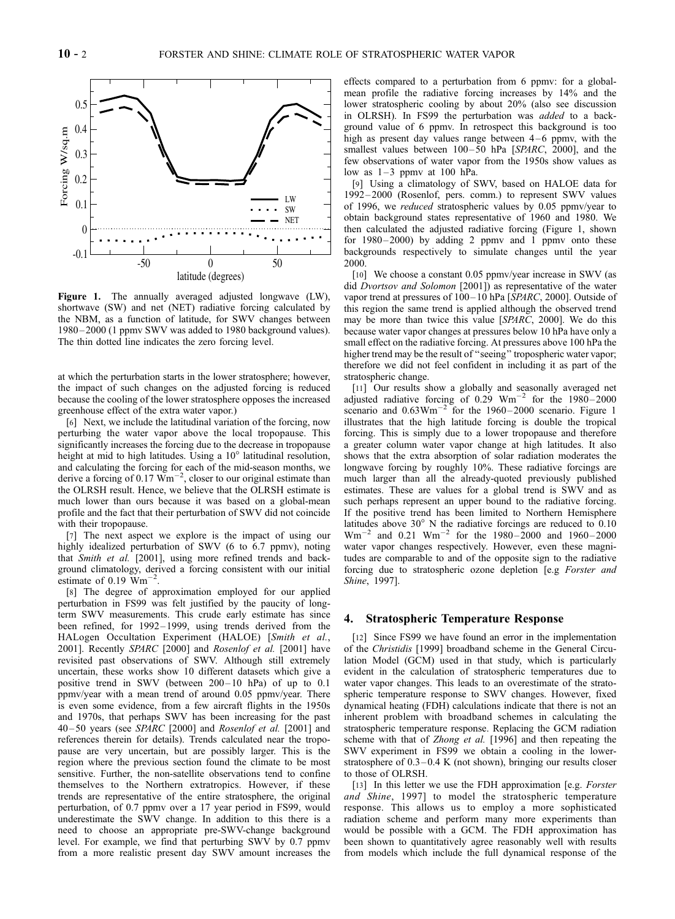

Figure 1. The annually averaged adjusted longwave (LW), shortwave (SW) and net (NET) radiative forcing calculated by the NBM, as a function of latitude, for SWV changes between 1980 – 2000 (1 ppmv SWV was added to 1980 background values). The thin dotted line indicates the zero forcing level.

at which the perturbation starts in the lower stratosphere; however, the impact of such changes on the adjusted forcing is reduced because the cooling of the lower stratosphere opposes the increased greenhouse effect of the extra water vapor.)

[6] Next, we include the latitudinal variation of the forcing, now perturbing the water vapor above the local tropopause. This significantly increases the forcing due to the decrease in tropopause height at mid to high latitudes. Using a  $10^{\circ}$  latitudinal resolution, and calculating the forcing for each of the mid-season months, we derive a forcing of 0.17  $\text{Wm}^{-2}$ , closer to our original estimate than the OLRSH result. Hence, we believe that the OLRSH estimate is much lower than ours because it was based on a global-mean profile and the fact that their perturbation of SWV did not coincide with their tropopause.

[7] The next aspect we explore is the impact of using our highly idealized perturbation of SWV (6 to 6.7 ppmv), noting that Smith et al. [2001], using more refined trends and background climatology, derived a forcing consistent with our initial estimate of  $0.19 \text{ Wm}^{-2}$ .

[8] The degree of approximation employed for our applied perturbation in FS99 was felt justified by the paucity of longterm SWV measurements. This crude early estimate has since been refined, for 1992-1999, using trends derived from the HALogen Occultation Experiment (HALOE) [Smith et al., 2001]. Recently SPARC [2000] and Rosenlof et al. [2001] have revisited past observations of SWV. Although still extremely uncertain, these works show 10 different datasets which give a positive trend in SWV (between  $200 - 10$  hPa) of up to 0.1 ppmv/year with a mean trend of around 0.05 ppmv/year. There is even some evidence, from a few aircraft flights in the 1950s and 1970s, that perhaps SWV has been increasing for the past  $40-50$  years (see SPARC [2000] and Rosenlof et al. [2001] and references therein for details). Trends calculated near the tropopause are very uncertain, but are possibly larger. This is the region where the previous section found the climate to be most sensitive. Further, the non-satellite observations tend to confine themselves to the Northern extratropics. However, if these trends are representative of the entire stratosphere, the original perturbation, of 0.7 ppmv over a 17 year period in FS99, would underestimate the SWV change. In addition to this there is a need to choose an appropriate pre-SWV-change background level. For example, we find that perturbing SWV by 0.7 ppmv from a more realistic present day SWV amount increases the

effects compared to a perturbation from 6 ppmv: for a globalmean profile the radiative forcing increases by 14% and the lower stratospheric cooling by about 20% (also see discussion in OLRSH). In FS99 the perturbation was *added* to a background value of 6 ppmv. In retrospect this background is too high as present day values range between  $4-6$  ppmv, with the smallest values between 100-50 hPa [SPARC, 2000], and the few observations of water vapor from the 1950s show values as low as  $1-3$  ppmv at 100 hPa.

[9] Using a climatology of SWV, based on HALOE data for 1992 – 2000 (Rosenlof, pers. comm.) to represent SWV values of 1996, we reduced stratospheric values by 0.05 ppmv/year to obtain background states representative of 1960 and 1980. We then calculated the adjusted radiative forcing (Figure 1, shown for  $1980 - 2000$  by adding 2 ppmv and 1 ppmv onto these backgrounds respectively to simulate changes until the year 2000.

[10] We choose a constant 0.05 ppmv/year increase in SWV (as did Dvortsov and Solomon [2001]) as representative of the water vapor trend at pressures of  $100 - 10$  hPa [SPARC, 2000]. Outside of this region the same trend is applied although the observed trend may be more than twice this value [SPARC, 2000]. We do this because water vapor changes at pressures below 10 hPa have only a small effect on the radiative forcing. At pressures above 100 hPa the higher trend may be the result of ''seeing'' tropospheric water vapor; therefore we did not feel confident in including it as part of the stratospheric change.

[11] Our results show a globally and seasonally averaged net adjusted radiative forcing of 0.29  $Wm^{-2}$  for the 1980-2000 scenario and  $0.63 \text{Wm}^{-2}$  for the 1960-2000 scenario. Figure 1 illustrates that the high latitude forcing is double the tropical forcing. This is simply due to a lower tropopause and therefore a greater column water vapor change at high latitudes. It also shows that the extra absorption of solar radiation moderates the longwave forcing by roughly 10%. These radiative forcings are much larger than all the already-quoted previously published estimates. These are values for a global trend is SWV and as such perhaps represent an upper bound to the radiative forcing. If the positive trend has been limited to Northern Hemisphere latitudes above 30° N the radiative forcings are reduced to 0.10  $Wm^{-2}$  and 0.21  $Wm^{-2}$  for the 1980–2000 and 1960–2000 water vapor changes respectively. However, even these magnitudes are comparable to and of the opposite sign to the radiative forcing due to stratospheric ozone depletion [e.g Forster and Shine, 1997].

#### 4. Stratospheric Temperature Response

[12] Since FS99 we have found an error in the implementation of the Christidis [1999] broadband scheme in the General Circulation Model (GCM) used in that study, which is particularly evident in the calculation of stratospheric temperatures due to water vapor changes. This leads to an overestimate of the stratospheric temperature response to SWV changes. However, fixed dynamical heating (FDH) calculations indicate that there is not an inherent problem with broadband schemes in calculating the stratospheric temperature response. Replacing the GCM radiation scheme with that of Zhong et al. [1996] and then repeating the SWV experiment in FS99 we obtain a cooling in the lowerstratosphere of  $0.3 - 0.4$  K (not shown), bringing our results closer to those of OLRSH.

[13] In this letter we use the FDH approximation [e.g. Forster and Shine, 1997] to model the stratospheric temperature response. This allows us to employ a more sophisticated radiation scheme and perform many more experiments than would be possible with a GCM. The FDH approximation has been shown to quantitatively agree reasonably well with results from models which include the full dynamical response of the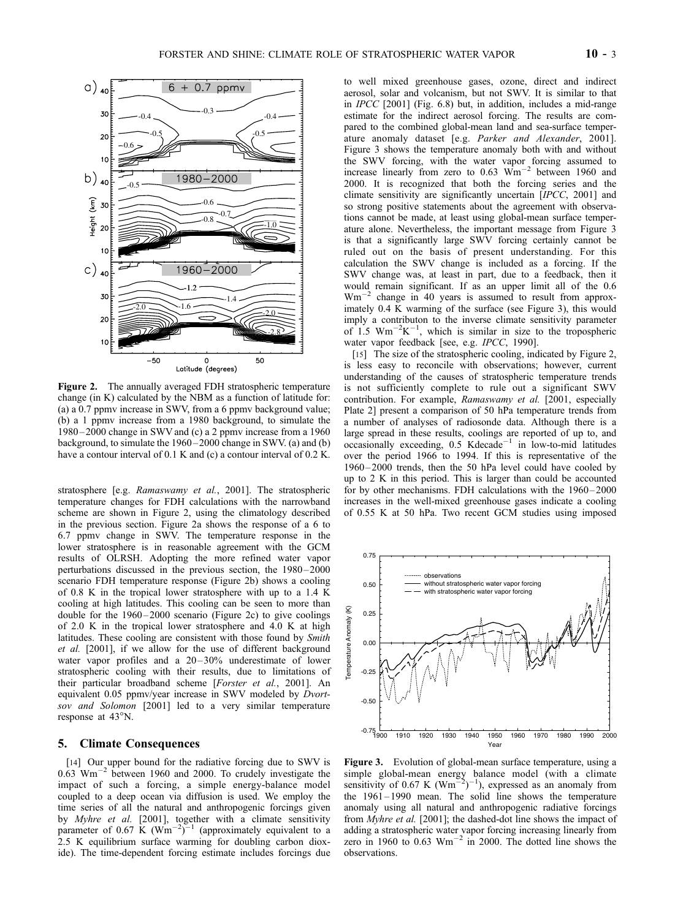

Figure 2. The annually averaged FDH stratospheric temperature change (in K) calculated by the NBM as a function of latitude for: (a) a 0.7 ppmv increase in SWV, from a 6 ppmv background value; (b) a 1 ppmv increase from a 1980 background, to simulate the 1980 – 2000 change in SWV and (c) a 2 ppmv increase from a 1960 background, to simulate the 1960–2000 change in SWV. (a) and (b) have a contour interval of 0.1 K and (c) a contour interval of 0.2 K.

stratosphere [e.g. Ramaswamy et al., 2001]. The stratospheric temperature changes for FDH calculations with the narrowband scheme are shown in Figure 2, using the climatology described in the previous section. Figure 2a shows the response of a 6 to 6.7 ppmv change in SWV. The temperature response in the lower stratosphere is in reasonable agreement with the GCM results of OLRSH. Adopting the more refined water vapor perturbations discussed in the previous section, the 1980 – 2000 scenario FDH temperature response (Figure 2b) shows a cooling of 0.8 K in the tropical lower stratosphere with up to a 1.4 K cooling at high latitudes. This cooling can be seen to more than double for the  $1960 - 2000$  scenario (Figure 2c) to give coolings of 2.0 K in the tropical lower stratosphere and 4.0 K at high latitudes. These cooling are consistent with those found by Smith et al. [2001], if we allow for the use of different background water vapor profiles and a 20-30% underestimate of lower stratospheric cooling with their results, due to limitations of their particular broadband scheme [Forster et al., 2001]. An equivalent 0.05 ppmv/year increase in SWV modeled by *Dvort*sov and Solomon [2001] led to a very similar temperature response at  $43^{\circ}$ N.

## 5. Climate Consequences

[14] Our upper bound for the radiative forcing due to SWV is 0.63  $\text{Wm}^{-2}$  between 1960 and 2000. To crudely investigate the impact of such a forcing, a simple energy-balance model coupled to a deep ocean via diffusion is used. We employ the time series of all the natural and anthropogenic forcings given by Myhre et al. [2001], together with a climate sensitivity parameter of 0.67 K ( $\text{Wm}^{-2}$ )<sup>-1</sup> (approximately equivalent to a 2.5 K equilibrium surface warming for doubling carbon dioxide). The time-dependent forcing estimate includes forcings due

to well mixed greenhouse gases, ozone, direct and indirect aerosol, solar and volcanism, but not SWV. It is similar to that in IPCC [2001] (Fig. 6.8) but, in addition, includes a mid-range estimate for the indirect aerosol forcing. The results are compared to the combined global-mean land and sea-surface temperature anomaly dataset [e.g. Parker and Alexander, 2001]. Figure 3 shows the temperature anomaly both with and without the SWV forcing, with the water vapor forcing assumed to increase linearly from zero to  $0.63$   $\text{Wm}^{-2}$  between 1960 and 2000. It is recognized that both the forcing series and the climate sensitivity are significantly uncertain [IPCC, 2001] and so strong positive statements about the agreement with observations cannot be made, at least using global-mean surface temperature alone. Nevertheless, the important message from Figure 3 is that a significantly large SWV forcing certainly cannot be ruled out on the basis of present understanding. For this calculation the SWV change is included as a forcing. If the SWV change was, at least in part, due to a feedback, then it would remain significant. If as an upper limit all of the 0.6  $Wm^{-2}$  change in 40 years is assumed to result from approximately 0.4 K warming of the surface (see Figure 3), this would imply a contributon to the inverse climate sensitivity parameter of 1.5  $\text{Wm}^{-2}\text{K}^{-1}$ , which is similar in size to the tropospheric water vapor feedback [see, e.g. IPCC, 1990].

[15] The size of the stratospheric cooling, indicated by Figure 2, is less easy to reconcile with observations; however, current understanding of the causes of stratospheric temperature trends is not sufficiently complete to rule out a significant SWV contribution. For example, Ramaswamy et al. [2001, especially Plate 2] present a comparison of 50 hPa temperature trends from a number of analyses of radiosonde data. Although there is a large spread in these results, coolings are reported of up to, and occasionally exceeding,  $0.5$  Kdecade<sup>-1</sup> in low-to-mid latitudes over the period 1966 to 1994. If this is representative of the 1960 – 2000 trends, then the 50 hPa level could have cooled by up to 2 K in this period. This is larger than could be accounted for by other mechanisms. FDH calculations with the  $1960 - 2000$ increases in the well-mixed greenhouse gases indicate a cooling of 0.55 K at 50 hPa. Two recent GCM studies using imposed



Figure 3. Evolution of global-mean surface temperature, using a simple global-mean energy balance model (with a climate sensitivity of 0.67 K ( $Wm^{-2}$ )<sup>-1</sup>), expressed as an anomaly from the 1961–1990 mean. The solid line shows the temperature anomaly using all natural and anthropogenic radiative forcings from Myhre et al. [2001]; the dashed-dot line shows the impact of adding a stratospheric water vapor forcing increasing linearly from zero in 1960 to  $0.63$  Wm<sup>-2</sup> in 2000. The dotted line shows the observations.